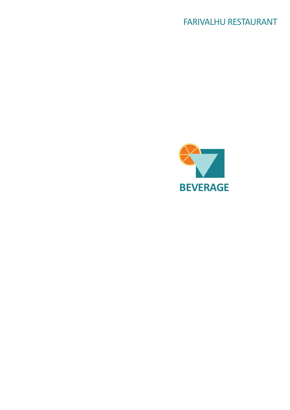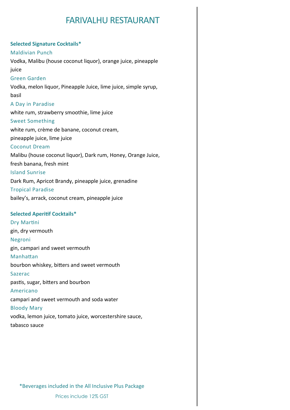## **Selected Signature Cocktails\***

## Maldivian Punch

Vodka, Malibu (house coconut liquor), orange juice, pineapple juice Green Garden Vodka, melon liquor, Pineapple Juice, lime juice, simple syrup, basil A Day in Paradise white rum, strawberry smoothie, lime juice Sweet Something white rum, crème de banane, coconut cream, pineapple juice, lime juice Coconut Dream Malibu (house coconut liquor), Dark rum, Honey, Orange Juice, fresh banana, fresh mint Island Sunrise Dark Rum, Apricot Brandy, pineapple juice, grenadine Tropical Paradise

bailey's, arrack, coconut cream, pineapple juice

## **Selected Aperitif Cocktails\***

Dry Martini gin, dry vermouth Negroni gin, campari and sweet vermouth Manhattan bourbon whiskey, bitters and sweet vermouth Sazerac pastis, sugar, bitters and bourbon Americano campari and sweet vermouth and soda water Bloody Mary vodka, lemon juice, tomato juice, worcestershire sauce, tabasco sauce

\*Beverages included in the All Inclusive Plus Package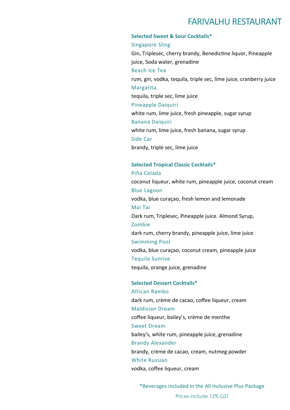## **Selected Sweet & Sour Cocktails\***

## Singapore Sling

Gin, Triplesec, cherry brandy, Benedictine liquor, Pineapple juice, Soda water, grenadine Beach Ice Tea rum, gin, vodka, tequila, triple sec, lime juice, cranberry juice Margarita tequila, triple sec, lime juice Pineapple Daiquiri white rum, lime juice, fresh pineapple, sugar syrup Banana Daiquiri white rum, lime juice, fresh banana, sugar syrup Side Car brandy, triple sec, lime juice

## **Selected Tropical Classic Cocktails\***

Piña Colada coconut liqueur, white rum, pineapple juice, coconut cream Blue Lagoon vodka, blue curaçao, fresh lemon and lemonade Mai Tai Dark rum, Triplesec, Pineapple juice. Almond Syrup, Zombie dark rum, cherry brandy, pineapple juice, lime juice Swimming Pool vodka, blue curaçao, coconut cream, pineapple juice Tequila Sunrise tequila, orange juice, grenadine

**Selected Dessert Cocktails\***  African Rambo dark rum, crème de cacao, coffee liqueur, cream Maldivian Dream coffee liqueur, bailey's, crème de menthe Sweet Dream bailey's, white rum, pineapple juice, grenadine Brandy Alexander brandy, crème de cacao, cream, nutmeg powder White Russian vodka, coffee liqueur, cream

\*Beverages included in the All Inclusive Plus Package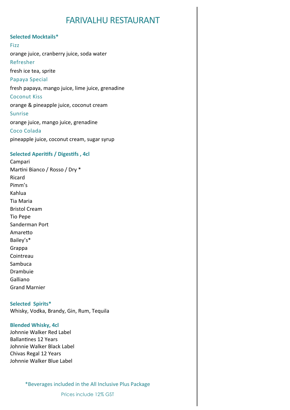## **Selected Mocktails\***

Fizz orange juice, cranberry juice, soda water Refresher fresh ice tea, sprite Papaya Special fresh papaya, mango juice, lime juice, grenadine Coconut Kiss orange & pineapple juice, coconut cream Sunrise orange juice, mango juice, grenadine Coco Colada pineapple juice, coconut cream, sugar syrup

## **Selected Aperitifs / Digestifs , 4cl**

Campari Martini Bianco / Rosso / Dry \* Ricard Pimm's Kahlua Tia Maria Bristol Cream Tio Pepe Sanderman Port Amaretto Bailey's\* Grappa Cointreau Sambuca Drambuie Galliano Grand Marnier

## **Selected Spirits\***

Whisky, Vodka, Brandy, Gin, Rum, Tequila

## **Blended Whisky, 4cl**

Johnnie Walker Red Label Ballantines 12 Years Johnnie Walker Black Label Chivas Regal 12 Years Johnnie Walker Blue Label

\*Beverages included in the All Inclusive Plus Package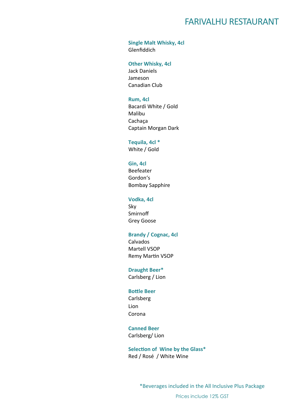**Single Malt Whisky, 4cl**  Glenfiddich

**Other Whisky, 4cl** 

Jack Daniels Jameson Canadian Club

## **Rum, 4cl**

Bacardi White / Gold Malibu Cachaça Captain Morgan Dark

## **Tequila, 4cl \***

White / Gold

## **Gin, 4cl**

Beefeater Gordon's Bombay Sapphire

## **Vodka, 4cl**

Sky Smirnoff Grey Goose

## **Brandy / Cognac, 4cl**

Calvados Martell VSOP Remy Martin VSOP

## **Draught Beer\***

Carlsberg / Lion

#### **Bottle Beer**

Carlsberg Lion Corona

## **Canned Beer**

Carlsberg/ Lion

**Selection of Wine by the Glass\*** Red / Rosé / White Wine

\*Beverages included in the All Inclusive Plus Package